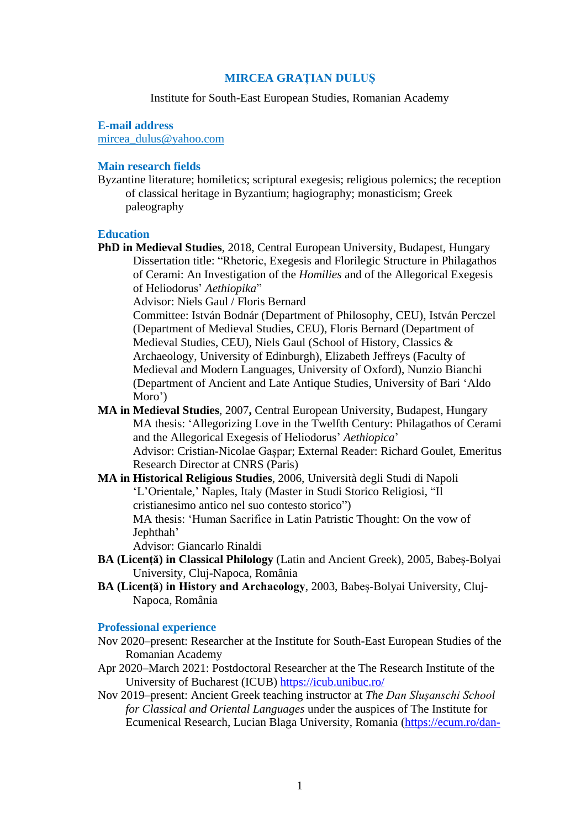## **MIRCEA GRAȚIAN DULUȘ**

## Institute for South-East European Studies, Romanian Academy

## **E-mail address**

[mircea\\_dulus@yahoo.com](mailto:mircea_dulus@yahoo.com)

# **Main research fields**

Byzantine literature; homiletics; scriptural exegesis; religious polemics; the reception of classical heritage in Byzantium; hagiography; monasticism; Greek paleography

#### **Education**

**PhD in Medieval Studies**, 2018, Central European University, Budapest, Hungary Dissertation title: "Rhetoric, Exegesis and Florilegic Structure in Philagathos of Cerami: An Investigation of the *Homilies* and of the Allegorical Exegesis of Heliodorus' *Aethiopika*"

Advisor: Niels Gaul / Floris Bernard

Committee: István Bodnár (Department of Philosophy, CEU), István Perczel (Department of Medieval Studies, CEU), Floris Bernard (Department of Medieval Studies, CEU), Niels Gaul (School of History, Classics & Archaeology, University of Edinburgh), Elizabeth Jeffreys (Faculty of Medieval and Modern Languages, University of Oxford), Nunzio Bianchi (Department of Ancient and Late Antique Studies, University of Bari 'Aldo Moro')

- **MA in Medieval Studies**, 2007**,** Central European University, Budapest, Hungary MA thesis: 'Allegorizing Love in the Twelfth Century: Philagathos of Cerami and the Allegorical Exegesis of Heliodorus' *Aethiopica*' Advisor: Cristian-Nicolae Gașpar; External Reader: Richard Goulet, Emeritus Research Director at CNRS (Paris)
- **MA in Historical Religious Studies**, 2006, Università degli Studi di Napoli 'L'Orientale,' Naples, Italy (Master in Studi Storico Religiosi, "Il cristianesimo antico nel suo contesto storico") MA thesis: 'Human Sacrifice in Latin Patristic Thought: On the vow of

Jephthah'

Advisor: Giancarlo Rinaldi

- **BA (Licenţă) in Classical Philology** (Latin and Ancient Greek), 2005, Babeș-Bolyai University, Cluj-Napoca, România
- **BA** (Licentă) in History and Archaeology, 2003, Babes-Bolyai University, Cluj-Napoca, România

### **Professional experience**

- Nov 2020–present: Researcher at the Institute for South-East European Studies of the Romanian Academy
- Apr 2020–March 2021: Postdoctoral Researcher at the The Research Institute of the University of Bucharest (ICUB) <https://icub.unibuc.ro/>
- Nov 2019–present: Ancient Greek teaching instructor at *The Dan Slușanschi School for Classical and Oriental Languages* under the auspices of The Institute for Ecumenical Research, Lucian Blaga University, Romania [\(https://ecum.ro/dan-](https://ecum.ro/dan-slusanschi-school-of-classical-and-oriental-languages/2020-2/)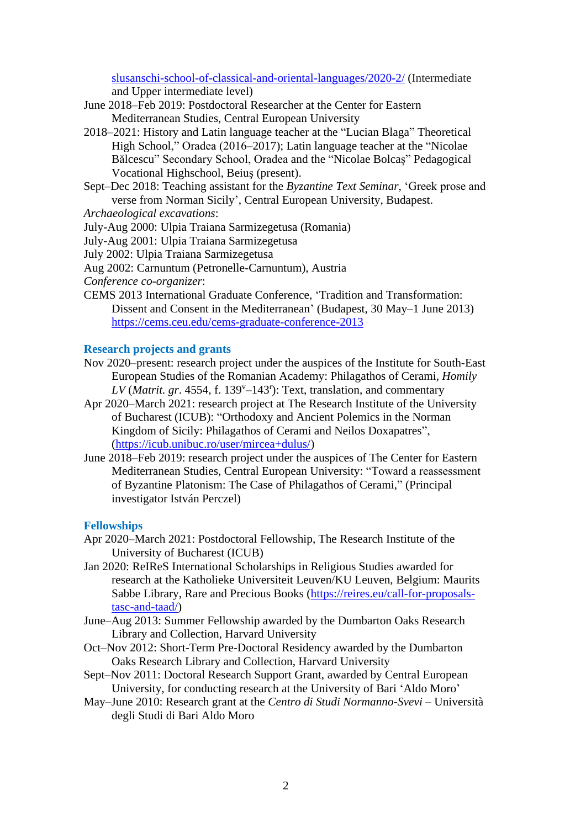[slusanschi-school-of-classical-and-oriental-languages/2020-2/](https://ecum.ro/dan-slusanschi-school-of-classical-and-oriental-languages/2020-2/) (Intermediate and Upper intermediate level)

- June 2018–Feb 2019: Postdoctoral Researcher at the Center for Eastern Mediterranean Studies, Central European University
- 2018–2021: History and Latin language teacher at the "Lucian Blaga" Theoretical High School," Oradea (2016–2017); Latin language teacher at the "Nicolae Bălcescu" Secondary School, Oradea and the "Nicolae Bolcaș" Pedagogical Vocational Highschool, Beiuş (present).
- Sept–Dec 2018: Teaching assistant for the *Byzantine Text Seminar*, 'Greek prose and verse from Norman Sicily', Central European University, Budapest.

*Archaeological excavations*:

July-Aug 2000: Ulpia Traiana Sarmizegetusa (Romania)

July-Aug 2001: Ulpia Traiana Sarmizegetusa

July 2002: Ulpia Traiana Sarmizegetusa

Aug 2002: Carnuntum (Petronelle-Carnuntum), Austria

*Conference co-organizer*:

CEMS 2013 International Graduate Conference, 'Tradition and Transformation: Dissent and Consent in the Mediterranean' (Budapest, 30 May–1 June 2013) <https://cems.ceu.edu/cems-graduate-conference-2013>

# **Research projects and grants**

- Nov 2020–present: research project under the auspices of the Institute for South-East European Studies of the Romanian Academy: Philagathos of Cerami, *Homily*  $LV (Matrit. gr. 4554, f. 139<sup>v</sup> - 143<sup>r</sup>)$ : Text, translation, and commentary
- Apr 2020–March 2021: research project at The Research Institute of the University of Bucharest (ICUB): "Orthodoxy and Ancient Polemics in the Norman Kingdom of Sicily: Philagathos of Cerami and Neilos Doxapatres", [\(https://icub.unibuc.ro/user/mircea+dulus/\)](https://icub.unibuc.ro/user/mircea+dulus/)
- June 2018–Feb 2019: research project under the auspices of The Center for Eastern Mediterranean Studies, Central European University: "Toward a reassessment of Byzantine Platonism: The Case of Philagathos of Cerami," (Principal investigator István Perczel)

# **Fellowships**

- Apr 2020–March 2021: Postdoctoral Fellowship, The Research Institute of the University of Bucharest (ICUB)
- Jan 2020: ReIReS International Scholarships in Religious Studies awarded for research at the Katholieke Universiteit Leuven/KU Leuven, Belgium: Maurits Sabbe Library, Rare and Precious Books [\(https://reires.eu/call-for-proposals](https://reires.eu/call-for-proposals-tasc-and-taad/)[tasc-and-taad/\)](https://reires.eu/call-for-proposals-tasc-and-taad/)
- June–Aug 2013: Summer Fellowship awarded by the Dumbarton Oaks Research Library and Collection, Harvard University
- Oct–Nov 2012: Short-Term Pre-Doctoral Residency awarded by the Dumbarton Oaks Research Library and Collection, Harvard University
- Sept–Nov 2011: Doctoral Research Support Grant, awarded by Central European University, for conducting research at the University of Bari 'Aldo Moro'
- May–June 2010: Research grant at the *Centro di Studi Normanno*-*Svevi* Università degli Studi di Bari Aldo Moro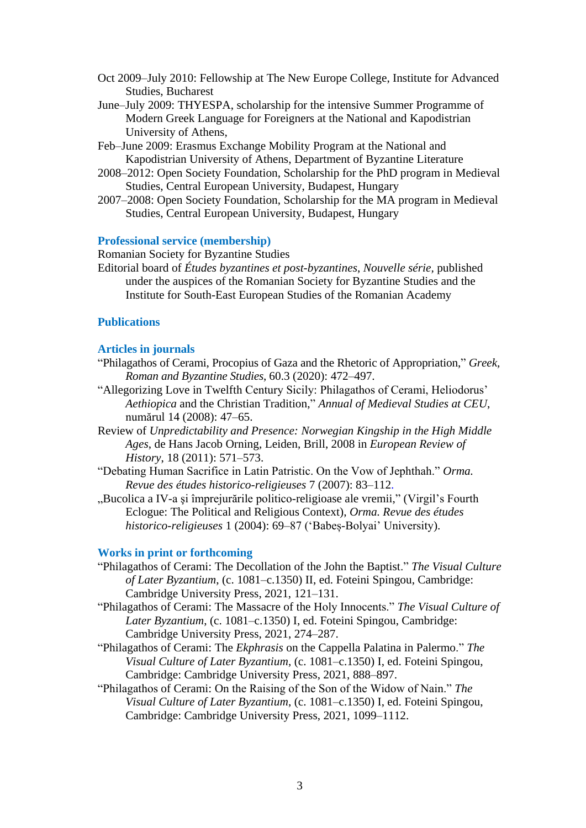- Oct 2009–July 2010: Fellowship at The New Europe College, Institute for Advanced Studies, Bucharest
- June–July 2009: THYESPA, scholarship for the intensive Summer Programme of Modern Greek Language for Foreigners at the National and Kapodistrian University of Athens,
- Feb–June 2009: Erasmus Exchange Mobility Program at the National and Kapodistrian University of Athens, Department of Byzantine Literature
- 2008–2012: Open Society Foundation, Scholarship for the PhD program in Medieval Studies, Central European University, Budapest, Hungary
- 2007–2008: Open Society Foundation, Scholarship for the MA program in Medieval Studies, Central European University, Budapest, Hungary

#### **Professional service (membership)**

Romanian Society for Byzantine Studies

Editorial board of *Études byzantines et post*-*byzantines*, *Nouvelle série,* published under the auspices of the Romanian Society for Byzantine Studies and the Institute for South-East European Studies of the Romanian Academy

## **Publications**

### **Articles in journals**

- "Philagathos of Cerami, Procopius of Gaza and the Rhetoric of Appropriation," *Greek, Roman and Byzantine Studies*, 60.3 (2020): 472–497.
- "Allegorizing Love in Twelfth Century Sicily: Philagathos of Cerami, Heliodorus' *Aethiopica* and the Christian Tradition," *Annual of Medieval Studies at CEU*, numărul 14 (2008): 47–65.
- Review of *Unpredictability and Presence: Norwegian Kingship in the High Middle Ages*, de Hans Jacob Orning, Leiden, Brill, 2008 in *European Review of History*, 18 (2011): 571–573.
- "Debating Human Sacrifice in Latin Patristic. On the Vow of Jephthah." *Orma. Revue des études historico-religieuses* 7 (2007): 83–112.
- "Bucolica a IV-a și împrejurările politico-religioase ale vremii," (Virgil's Fourth Eclogue: The Political and Religious Context), *Orma. Revue des études historico-religieuses* 1 (2004): 69–87 ('Babeș-Bolyai' University).

#### **Works in print or forthcoming**

- "Philagathos of Cerami: The Decollation of the John the Baptist." *The Visual Culture of Later Byzantium*, (c. 1081–c.1350) II, ed. Foteini Spingou, Cambridge: Cambridge University Press, 2021, 121–131.
- "Philagathos of Cerami: The Massacre of the Holy Innocents." *The Visual Culture of Later Byzantium*, (c. 1081–c.1350) I, ed. Foteini Spingou, Cambridge: Cambridge University Press, 2021, 274–287.
- "Philagathos of Cerami: The *Ekphrasis* on the Cappella Palatina in Palermo." *The Visual Culture of Later Byzantium*, (c. 1081–c.1350) I, ed. Foteini Spingou, Cambridge: Cambridge University Press, 2021, 888–897.
- "Philagathos of Cerami: On the Raising of the Son of the Widow of Nain." *The Visual Culture of Later Byzantium*, (c. 1081–c.1350) I, ed. Foteini Spingou, Cambridge: Cambridge University Press, 2021, 1099–1112.